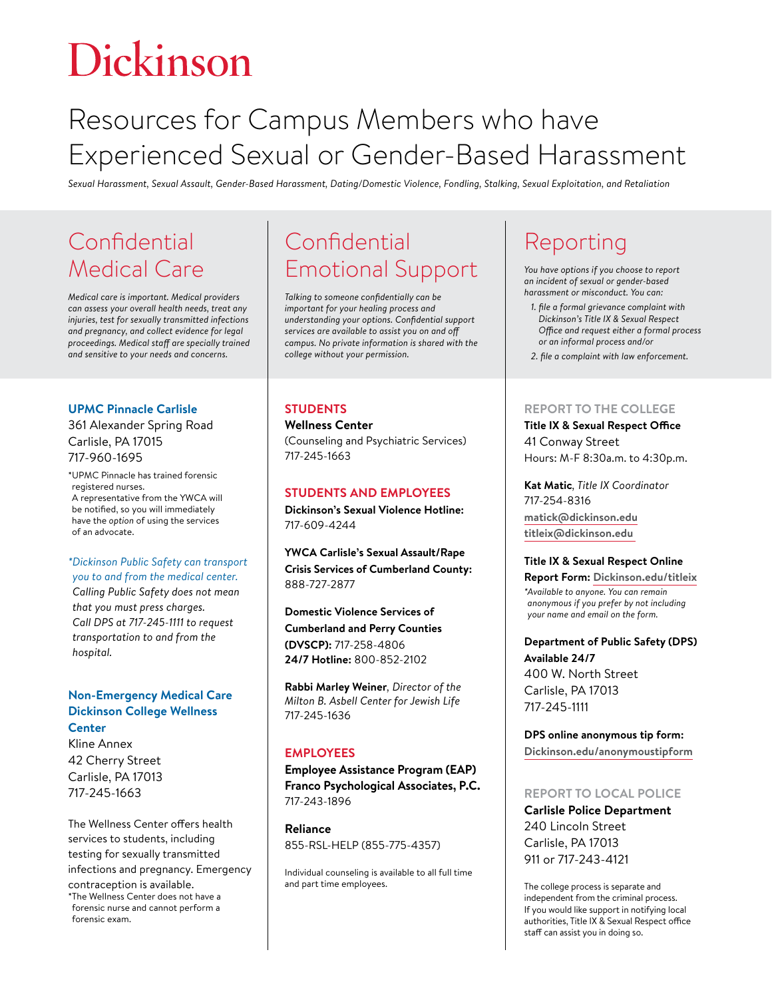# Dickinson

# Resources for Campus Members who have Experienced Sexual or Gender-Based Harassment

*Sexual Harassment, Sexual Assault, Gender-Based Harassment, Dating/Domestic Violence, Fondling, Stalking, Sexual Exploitation, and Retaliation*

### **Confidential** Medical Care

*Medical care is important. Medical providers can assess your overall health needs, treat any injuries, test for sexually transmitted infections and pregnancy, and collect evidence for legal proceedings. Medical staff are specially trained and sensitive to your needs and concerns.*

#### **UPMC Pinnacle Carlisle**

361 Alexander Spring Road Carlisle, PA 17015 717-960-1695

\*UPMC Pinnacle has trained forensic registered nurses. A representative from the YWCA will be notified, so you will immediately have the *option* of using the services of an advocate.

#### *\*Dickinson Public Safety can transport*

*you to and from the medical center. Calling Public Safety does not mean that you must press charges. Call DPS at 717-245-1111 to request transportation to and from the hospital.* 

#### **Non-Emergency Medical Care Dickinson College Wellness Center**

Kline Annex 42 Cherry Street Carlisle, PA 17013 717-245-1663

The Wellness Center offers health services to students, including testing for sexually transmitted infections and pregnancy. Emergency contraception is available. \*The Wellness Center does not have a forensic nurse and cannot perform a forensic exam.

# **Confidential** Emotional Support

*Talking to someone confidentially can be important for your healing process and understanding your options. Confidential support services are available to assist you on and off campus. No private information is shared with the college without your permission.* 

#### **STUDENTS**

#### **Wellness Center**

(Counseling and Psychiatric Services) 717-245-1663

#### **STUDENTS AND EMPLOYEES**

**Dickinson's Sexual Violence Hotline:**  717-609-4244

**YWCA Carlisle's Sexual Assault/Rape Crisis Services of Cumberland County:**  888-727-2877

**Domestic Violence Services of Cumberland and Perry Counties (DVSCP):** 717-258-4806 **24/7 Hotline:** 800-852-2102

**Rabbi Marley Weiner***, Director of the Milton B. Asbell Center for Jewish Life*  717-245-1636

#### **EMPLOYEES**

**Employee Assistance Program (EAP) Franco Psychological Associates, P.C.**  717-243-1896

**Reliance**  855-RSL-HELP (855-775-4357)

Individual counseling is available to all full time and part time employees.

# Reporting

*You have options if you choose to report an incident of sexual or gender-based harassment or misconduct. You can:*

- *1. file a formal grievance complaint with Dickinson's Title IX & Sexual Respect Office and request either a formal process or an informal process and/or*
- *2. file a complaint with law enforcement.*

#### **REPORT TO THE COLLEGE**

**Title IX & Sexual Respect Office** 41 Conway Street Hours: M-F 8:30a.m. to 4:30p.m.

**Kat Matic***, Title IX Coordinator*  717-254-8316 **[matick@dickinson.edu](mailto:matick%40dickinson.edu?subject=) [titleix@dickinson.edu](mailto:titleix%40dickinson.edu%20?subject=)** 

#### **Title IX & Sexual Respect Online**

**Report Form: [Dickinson.edu/titleix](https://www.dickinson.edu/titleix)** *\*Available to anyone. You can remain anonymous if you prefer by not including your name and email on the form.*

**Department of Public Safety (DPS) Available 24/7**  400 W. North Street Carlisle, PA 17013 717-245-1111

**DPS online anonymous tip form: [Dickinson.edu/anonymoustipform](https://www.dickinson.edu/anonymoustipform)**

#### **REPORT TO LOCAL POLICE**

**Carlisle Police Department** 240 Lincoln Street Carlisle, PA 17013 911 or 717-243-4121

The college process is separate and independent from the criminal process. If you would like support in notifying local authorities, Title IX & Sexual Respect office staff can assist you in doing so.